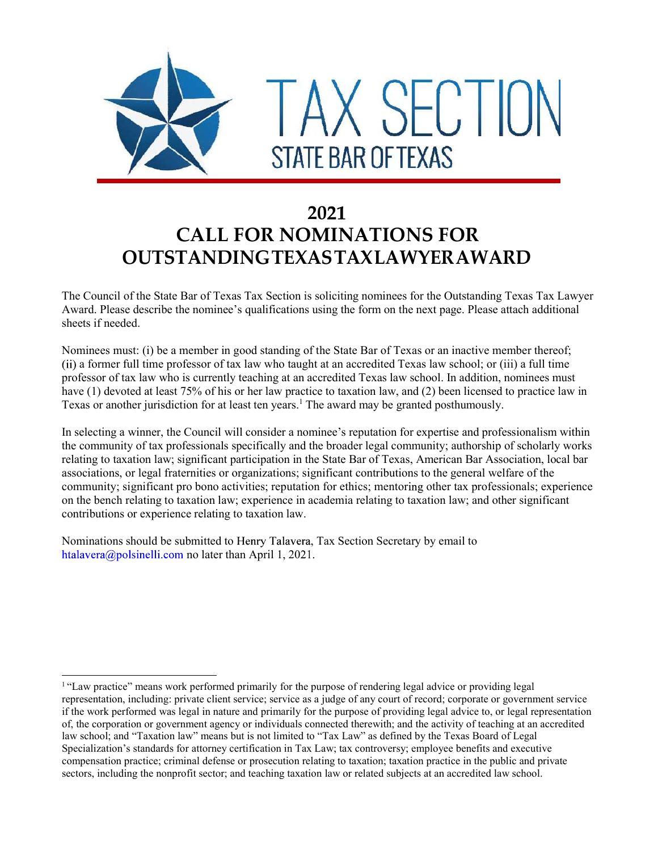

## 2021 CALL FOR NOMINATIONS FOR OUTSTANDINGTEXASTAXLAWYERAWARD

The Council of the State Bar of Texas Tax Section is soliciting nominees for the Outstanding Texas Tax Lawyer Award. Please describe the nominee's qualifications using the form on the next page. Please attach additional sheets if needed.

Nominees must: (i) be a member in good standing of the State Bar of Texas or an inactive member thereof; a former full time professor of tax law who taught at an accredited Texas law school; or (iii) a full time professor of tax law who is currently teaching at an accredited Texas law school. In addition, nominees must have (1) devoted at least 75% of his or her law practice to taxation law, and (2) been licensed to practice law in Texas or another jurisdiction for at least ten years.<sup>1</sup> The award may be granted posthumously.

In selecting a winner, the Council will consider a nominee's reputation for expertise and professionalism within the community of tax professionals specifically and the broader legal community; authorship of scholarly works relating to taxation law; significant participation in the State Bar of Texas, American Bar Association, local bar associations, or legal fraternities or organizations; significant contributions to the general welfare of the community; significant pro bono activities; reputation for ethics; mentoring other tax professionals; experience on the bench relating to taxation law; experience in academia relating to taxation law; and other significant contributions or experience relating to taxation law.

Nominations should be submitted to Henry Talavera, Tax Section Secretary by email to

ntalavera@polsinelli.com no later than April 1, 2021.<br>
1. "Law practice" means work performed primarily for the purpose of rendering legal advice or providing legal representation, including: private client service; service as a judge of any court of record; corporate or government service if the work performed was legal in nature and primarily for the purpose of providing legal advice to, or legal representation of, the corporation or government agency or individuals connected therewith; and the activity of teaching at an accredited law school; and "Taxation law" means but is not limited to "Tax Law" as defined by the Texas Board of Legal Specialization's standards for attorney certification in Tax Law; tax controversy; employee benefits and executive compensation practice; criminal defense or prosecution relating to taxation; taxation practice in the public and private sectors, including the nonprofit sector; and teaching taxation law or related subjects at an accredited law school.